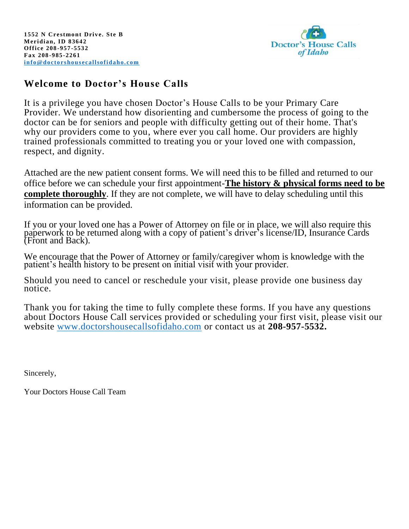

## **Welcome to Doctor's House Calls**

It is a privilege you have chosen Doctor's House Calls to be your Primary Care Provider. We understand how disorienting and cumbersome the process of going to the doctor can be for seniors and people with difficulty getting out of their home. That's why our providers come to you, where ever you call home. Our providers are highly trained professionals committed to treating you or your loved one with compassion, respect, and dignity.

Attached are the new patient consent forms. We will need this to be filled and returned to our office before we can schedule your first appointment-**The history & physical forms need to be complete thoroughly**. If they are not complete, we will have to delay scheduling until this information can be provided.

If you or your loved one has a Power of Attorney on file or in place, we will also require this paperwork to be returned along with a copy of patient's driver's license/ID, Insurance Cards (Front and Back).

We encourage that the Power of Attorney or family/caregiver whom is knowledge with the patient's health history to be present on initial visit with your provider.

Should you need to cancel or reschedule your visit, please provide one business day notice.

Thank you for taking the time to fully complete these forms. If you have any questions about Doctors House Call services provided or scheduling your first visit, please visit our website [www.doctorshousecallsofidaho.com](http://www.doctorshousecallsofidaho.com/) or contact us at **208-957-5532.**

Sincerely,

Your Doctors House Call Team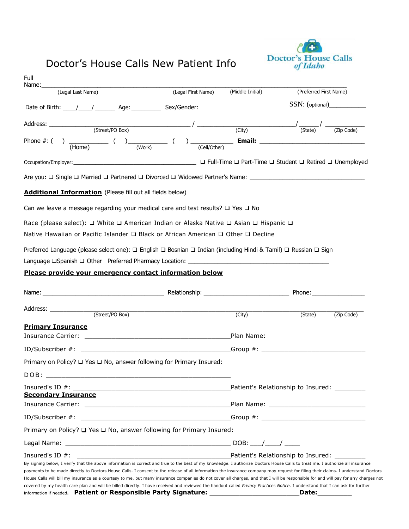# Doctor's House Calls New Patient Info



| Full<br>Name:                                                                                                                                                                                                                                                                                                                                                     |                    |                  |                                                                                    |            |
|-------------------------------------------------------------------------------------------------------------------------------------------------------------------------------------------------------------------------------------------------------------------------------------------------------------------------------------------------------------------|--------------------|------------------|------------------------------------------------------------------------------------|------------|
| (Legal Last Name)                                                                                                                                                                                                                                                                                                                                                 | (Legal First Name) | (Middle Initial) | (Preferred First Name)                                                             |            |
| Date of Birth: ____/ ______/ ________ Age: ___________ Sex/Gender: ________________________________SSN: (optional)____________________                                                                                                                                                                                                                            |                    |                  |                                                                                    |            |
|                                                                                                                                                                                                                                                                                                                                                                   |                    |                  |                                                                                    |            |
| $Address:$ (Street/PO Box)                                                                                                                                                                                                                                                                                                                                        |                    |                  | $\frac{1}{\text{(City)}}$ $\frac{1}{\text{(State)}}$ $\frac{1}{\text{(Zip Code)}}$ |            |
| Phone #: ( ) $\underbrace{\hspace{1cm}}$ ( ) $\underbrace{\hspace{1cm}}$ ( ) $\underbrace{\hspace{1cm}}$ ( ) $\underbrace{\hspace{1cm}}$ ( ) $\underbrace{\hspace{1cm}}$ Email: $\underbrace{\hspace{1cm}}$                                                                                                                                                       |                    |                  |                                                                                    |            |
|                                                                                                                                                                                                                                                                                                                                                                   |                    |                  |                                                                                    |            |
| Are you: □ Single □ Married □ Partnered □ Divorced □ Widowed Partner's Name: _________________________________                                                                                                                                                                                                                                                    |                    |                  |                                                                                    |            |
| <b>Additional Information</b> (Please fill out all fields below)                                                                                                                                                                                                                                                                                                  |                    |                  |                                                                                    |            |
| Can we leave a message regarding your medical care and test results? $\Box$ Yes $\Box$ No                                                                                                                                                                                                                                                                         |                    |                  |                                                                                    |            |
| Race (please select): □ White □ American Indian or Alaska Native □ Asian □ Hispanic □                                                                                                                                                                                                                                                                             |                    |                  |                                                                                    |            |
| Native Hawaiian or Pacific Islander □ Black or African American □ Other □ Decline                                                                                                                                                                                                                                                                                 |                    |                  |                                                                                    |            |
| Preferred Language (please select one): □ English □ Bosnian □ Indian (including Hindi & Tamil) □ Russian □ Sign                                                                                                                                                                                                                                                   |                    |                  |                                                                                    |            |
|                                                                                                                                                                                                                                                                                                                                                                   |                    |                  |                                                                                    |            |
| Please provide your emergency contact information below                                                                                                                                                                                                                                                                                                           |                    |                  |                                                                                    |            |
|                                                                                                                                                                                                                                                                                                                                                                   |                    |                  |                                                                                    |            |
| Address: ________________                                                                                                                                                                                                                                                                                                                                         | (Street/PO Box)    |                  |                                                                                    |            |
|                                                                                                                                                                                                                                                                                                                                                                   |                    | (City)           | (State)                                                                            | (Zip Code) |
| <b>Primary Insurance</b>                                                                                                                                                                                                                                                                                                                                          |                    | Plan Name:       |                                                                                    |            |
| $ID/Subscripter #:$ Group #:                                                                                                                                                                                                                                                                                                                                      |                    |                  |                                                                                    |            |
| Primary on Policy? $\Box$ Yes $\Box$ No, answer following for Primary Insured:                                                                                                                                                                                                                                                                                    |                    |                  |                                                                                    |            |
| DOB:                                                                                                                                                                                                                                                                                                                                                              |                    |                  |                                                                                    |            |
|                                                                                                                                                                                                                                                                                                                                                                   |                    |                  |                                                                                    |            |
| <b>Secondary Insurance</b>                                                                                                                                                                                                                                                                                                                                        |                    |                  |                                                                                    |            |
|                                                                                                                                                                                                                                                                                                                                                                   |                    |                  |                                                                                    |            |
|                                                                                                                                                                                                                                                                                                                                                                   |                    |                  |                                                                                    |            |
| Primary on Policy? Q Yes Q No, answer following for Primary Insured:                                                                                                                                                                                                                                                                                              |                    |                  |                                                                                    |            |
|                                                                                                                                                                                                                                                                                                                                                                   |                    |                  |                                                                                    |            |
| Insured's ID $#$ :                                                                                                                                                                                                                                                                                                                                                |                    |                  |                                                                                    |            |
| By signing below, I verify that the above information is correct and true to the best of my knowledge. I authorize Doctors House Calls to treat me. I authorize all insurance<br>payments to be made directly to Doctors House Calls. I consent to the release of all information the insurance company may request for filing their claims. I understand Doctors |                    |                  |                                                                                    |            |
| House Calls will bill my insurance as a courtesy to me, but many insurance companies do not cover all charges, and that I will be responsible for and will pay for any charges not                                                                                                                                                                                |                    |                  |                                                                                    |            |
| covered by my health care plan and will be billed directly. I have received and reviewed the handout called Privacy Practices Notice. I understand that I can ask for further                                                                                                                                                                                     |                    |                  |                                                                                    |            |
| information if needed. Patient or Responsible Party Signature: ___________                                                                                                                                                                                                                                                                                        |                    |                  | Date:                                                                              |            |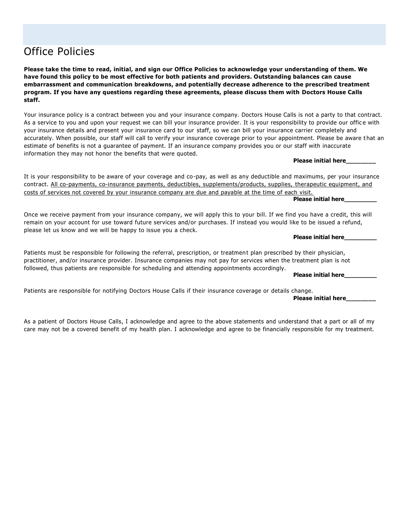# Office Policies

**Please take the time to read, initial, and sign our Office Policies to acknowledge your understanding of them. We have found this policy to be most effective for both patients and providers. Outstanding balances can cause embarrassment and communication breakdowns, and potentially decrease adherence to the prescribed treatment program. If you have any questions regarding these agreements, please discuss them with Doctors House Calls staff.**

Your insurance policy is a contract between you and your insurance company. Doctors House Calls is not a party to that contract. As a service to you and upon your request we can bill your insurance provider. It is your responsibility to provide our office with your insurance details and present your insurance card to our staff, so we can bill your insurance carrier completely and accurately. When possible, our staff will call to verify your insurance coverage prior to your appointment. Please be aware t hat an estimate of benefits is not a guarantee of payment. If an insurance company provides you or our staff with inaccurate information they may not honor the benefits that were quoted.

**Please initial here\_\_\_\_\_\_\_\_**

It is your responsibility to be aware of your coverage and co-pay, as well as any deductible and maximums, per your insurance contract. All co-payments, co-insurance payments, deductibles, supplements/products, supplies, therapeutic equipment, and costs of services not covered by your insurance company are due and payable at the time of each visit.

**Please initial here\_\_\_\_\_\_\_\_\_**

Once we receive payment from your insurance company, we will apply this to your bill. If we find you have a credit, this will remain on your account for use toward future services and/or purchases. If instead you would like to be issued a refund, please let us know and we will be happy to issue you a check.

**Please initial here\_\_\_\_\_\_\_\_\_**

Patients must be responsible for following the referral, prescription, or treatment plan prescribed by their physician, practitioner, and/or insurance provider. Insurance companies may not pay for services when the treatment plan is not followed, thus patients are responsible for scheduling and attending appointments accordingly.

**Please initial here\_\_\_\_\_\_\_\_\_**

Patients are responsible for notifying Doctors House Calls if their insurance coverage or details change.

**Please initial here\_\_\_\_\_\_\_\_**

As a patient of Doctors House Calls, I acknowledge and agree to the above statements and understand that a part or all of my care may not be a covered benefit of my health plan. I acknowledge and agree to be financially responsible for my treatment.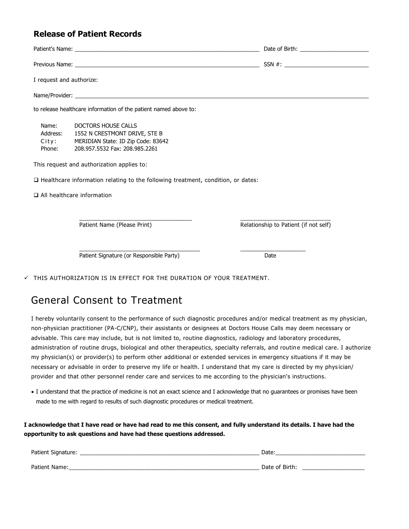## **Release of Patient Records**

| I request and authorize:             |                                                                                                                              |                                       |
|--------------------------------------|------------------------------------------------------------------------------------------------------------------------------|---------------------------------------|
|                                      |                                                                                                                              |                                       |
|                                      | to release healthcare information of the patient named above to:                                                             |                                       |
| Name:<br>Address:<br>City:<br>Phone: | DOCTORS HOUSE CALLS<br>1552 N CRESTMONT DRIVE, STE B<br>MERIDIAN State: ID Zip Code: 83642<br>208.957.5532 Fax: 208.985.2261 |                                       |
|                                      | This request and authorization applies to:                                                                                   |                                       |
|                                      | □ Healthcare information relating to the following treatment, condition, or dates:                                           |                                       |
|                                      | $\Box$ All healthcare information                                                                                            |                                       |
|                                      | Patient Name (Please Print)                                                                                                  | Relationship to Patient (if not self) |
|                                      | Patient Signature (or Responsible Party)                                                                                     | Date                                  |

 $\checkmark$  THIS AUTHORIZATION IS IN EFFECT FOR THE DURATION OF YOUR TREATMENT.

## General Consent to Treatment

I hereby voluntarily consent to the performance of such diagnostic procedures and/or medical treatment as my physician, non-physician practitioner (PA-C/CNP), their assistants or designees at Doctors House Calls may deem necessary or advisable. This care may include, but is not limited to, routine diagnostics, radiology and laboratory procedures, administration of routine drugs, biological and other therapeutics, specialty referrals, and routine medical care. I authorize my physician(s) or provider(s) to perform other additional or extended services in emergency situations if it may be necessary or advisable in order to preserve my life or health. I understand that my care is directed by my phys ician/ provider and that other personnel render care and services to me according to the physician's instructions.

• I understand that the practice of medicine is not an exact science and I acknowledge that no guarantees or promises have been made to me with regard to results of such diagnostic procedures or medical treatment.

**I acknowledge that I have read or have had read to me this consent, and fully understand its details. I have had the opportunity to ask questions and have had these questions addressed.**

| Patient Sigi<br>idlui e               | ``<br>valt                         |
|---------------------------------------|------------------------------------|
| <b>Dationt</b>                        |                                    |
| <sup>.</sup> Name.<br>___<br>________ | Atari،<br>. റ†<br>DILLI<br>_______ |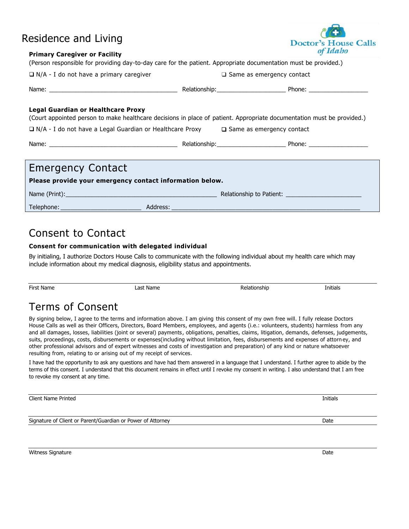## Residence and Living

#### **Primary Caregiver or Facility**

| 111111101 y Calcylvci VI I achity<br>(Person responsible for providing day-to-day care for the patient. Appropriate documentation must be provided.)         |  |                                  |  |  |
|--------------------------------------------------------------------------------------------------------------------------------------------------------------|--|----------------------------------|--|--|
| $\Box$ N/A - I do not have a primary caregiver                                                                                                               |  | $\Box$ Same as emergency contact |  |  |
|                                                                                                                                                              |  |                                  |  |  |
| Legal Guardian or Healthcare Proxy<br>(Court appointed person to make healthcare decisions in place of patient. Appropriate documentation must be provided.) |  |                                  |  |  |
| $\Box$ N/A - I do not have a Legal Guardian or Healthcare Proxy $\Box$ Same as emergency contact                                                             |  |                                  |  |  |
|                                                                                                                                                              |  |                                  |  |  |
| <b>Emergency Contact</b>                                                                                                                                     |  |                                  |  |  |
|                                                                                                                                                              |  |                                  |  |  |
| Please provide your emergency contact information below.                                                                                                     |  |                                  |  |  |

Consent to Contact

### **Consent for communication with delegated individual**

By initialing, I authorize Doctors House Calls to communicate with the following individual about my health care which may include information about my medical diagnosis, eligibility status and appointments.

Telephone: \_\_\_\_\_\_\_\_\_\_\_\_\_\_\_\_\_\_\_\_\_\_\_\_ Address: \_\_\_\_\_\_\_\_\_\_\_\_\_\_\_\_\_\_\_\_\_\_\_\_\_\_\_\_\_\_\_\_\_\_\_\_\_\_\_\_\_\_\_\_\_\_\_\_\_\_\_\_\_\_\_\_

Name (Print):\_\_\_\_\_\_\_\_\_\_\_\_\_\_\_\_\_\_\_\_\_\_\_\_\_\_\_\_\_\_\_\_\_\_\_\_\_\_\_\_\_\_\_\_\_\_ Relationship to Patient: \_\_\_\_\_\_\_\_\_\_\_\_\_\_\_\_\_\_\_\_\_\_\_

First Name **Example 2** and the Last Name **Contract Contract Contract Contract A** Relationship **Initials** Terms of Consent

By signing below, I agree to the terms and information above. I am giving this consent of my own free will. I fully release Doctors House Calls as well as their Officers, Directors, Board Members, employees, and agents (i.e.: volunteers, students) harmless from any and all damages, losses, liabilities (joint or several) payments, obligations, penalties, claims, litigation, demands, defenses, judgements, suits, proceedings, costs, disbursements or expenses(including without limitation, fees, disbursements and expenses of attorn ey, and other professional advisors and of expert witnesses and costs of investigation and preparation) of any kind or nature whatsoever resulting from, relating to or arising out of my receipt of services.

I have had the opportunity to ask any questions and have had them answered in a language that I understand. I further agree to abide by the terms of this consent. I understand that this document remains in effect until I revoke my consent in writing. I also understand that I am free to revoke my consent at any time.

Client Name Printed **Initials** 

Signature of Client or Parent/Guardian or Power of Attorney Date Date of Client of Date Date



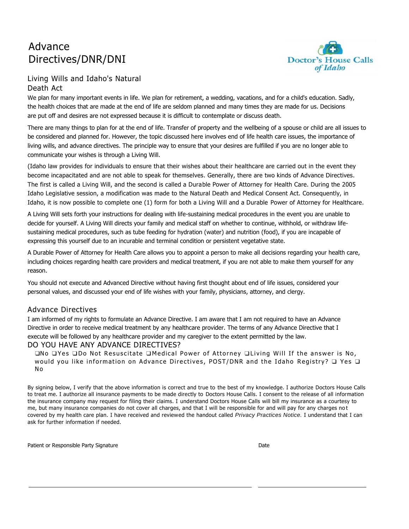## Advance Directives/DNR/DNI



## Living Wills and Idaho's Natural Death Act

We plan for many important events in life. We plan for retirement, a wedding, vacations, and for a child's education. Sadly, the health choices that are made at the end of life are seldom planned and many times they are made for us. Decisions are put off and desires are not expressed because it is difficult to contemplate or discuss death.

There are many things to plan for at the end of life. Transfer of property and the wellbeing of a spouse or child are all issues to be considered and planned for. However, the topic discussed here involves end of life health care issues, the importance of living wills, and advance directives. The principle way to ensure that your desires are fulfilled if you are no longer able to communicate your wishes is through a Living Will.

(Idaho law provides for individuals to ensure that their wishes about their healthcare are carried out in the event they become incapacitated and are not able to speak for themselves. Generally, there are two kinds of Advance Directives. The first is called a Living Will, and the second is called a Durable Power of Attorney for Health Care. During the 2005 Idaho Legislative session, a modification was made to the Natural Death and Medical Consent Act. Consequently, in Idaho, it is now possible to complete one (1) form for both a Living Will and a Durable Power of Attorney for Healthcare.

A Living Will sets forth your instructions for dealing with life-sustaining medical procedures in the event you are unable to decide for yourself. A Living Will directs your family and medical staff on whether to continue, withhold, or withdraw lifesustaining medical procedures, such as tube feeding for hydration (water) and nutrition (food), if you are incapable of expressing this yourself due to an incurable and terminal condition or persistent vegetative state.

A Durable Power of Attorney for Health Care allows you to appoint a person to make all decisions regarding your health care, including choices regarding health care providers and medical treatment, if you are not able to make them yourself for any reason.

You should not execute and Advanced Directive without having first thought about end of life issues, considered your personal values, and discussed your end of life wishes with your family, physicians, attorney, and clergy.

### Advance Directives

I am informed of my rights to formulate an Advance Directive. I am aware that I am not required to have an Advance Directive in order to receive medical treatment by any healthcare provider. The terms of any Advance Directive that I execute will be followed by any healthcare provider and my caregiver to the extent permitted by the law.

### DO YOU HAVE ANY ADVANCE DIRECTIVES?

❑No ❑Yes ❑Do Not Resuscitate ❑Medical Power of Attorney ❑Living Will If the answer is No, would you like information on Advance Directives, POST/DNR and the Idaho Registry? ❑ Yes ❑ No

By signing below, I verify that the above information is correct and true to the best of my knowledge. I authorize Doctors House Calls to treat me. I authorize all insurance payments to be made directly to Doctors House Calls. I consent to the release of all information the insurance company may request for filing their claims. I understand Doctors House Calls will bill my insurance as a courtesy to me, but many insurance companies do not cover all charges, and that I will be responsible for and will pay for any charges no t covered by my health care plan. I have received and reviewed the handout called *Privacy Practices Notice.* I understand that I can ask for further information if needed.

Patient or Responsible Party Signature **Date of American Structure Control** Date Date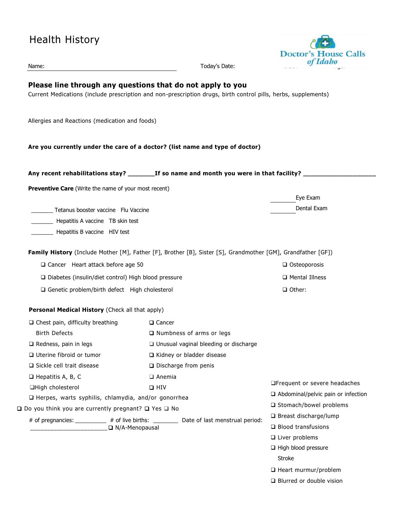| <b>Health History</b>                                                                                                                                                        |                             |                                           | <b>Doctor's House Calls</b><br>of Idaho |
|------------------------------------------------------------------------------------------------------------------------------------------------------------------------------|-----------------------------|-------------------------------------------|-----------------------------------------|
| Name:                                                                                                                                                                        |                             | Today's Date:                             |                                         |
| Please line through any questions that do not apply to you<br>Current Medications (include prescription and non-prescription drugs, birth control pills, herbs, supplements) |                             |                                           |                                         |
| Allergies and Reactions (medication and foods)                                                                                                                               |                             |                                           |                                         |
| Are you currently under the care of a doctor? (list name and type of doctor)                                                                                                 |                             |                                           |                                         |
| Any recent rehabilitations stay? _________If so name and month you were in that facility? _____                                                                              |                             |                                           |                                         |
| <b>Preventive Care</b> (Write the name of your most recent)                                                                                                                  |                             |                                           |                                         |
|                                                                                                                                                                              |                             |                                           | Eye Exam                                |
| ____ Tetanus booster vaccine Flu Vaccine                                                                                                                                     |                             |                                           | Dental Exam                             |
| Hepatitis A vaccine TB skin test                                                                                                                                             |                             |                                           |                                         |
| Hepatitis B vaccine HIV test                                                                                                                                                 |                             |                                           |                                         |
| Family History (Include Mother [M], Father [F], Brother [B], Sister [S], Grandmother [GM], Grandfather [GF])                                                                 |                             |                                           |                                         |
| $\Box$ Cancer Heart attack before age 50                                                                                                                                     |                             |                                           | $\Box$ Osteoporosis                     |
| □ Diabetes (insulin/diet control) High blood pressure                                                                                                                        |                             | $\Box$ Mental Illness                     |                                         |
| □ Genetic problem/birth defect High cholesterol                                                                                                                              |                             |                                           | $\Box$ Other:                           |
| Personal Medical History (Check all that apply)                                                                                                                              |                             |                                           |                                         |
| $\Box$ Chest pain, difficulty breathing                                                                                                                                      | □ Cancer                    |                                           |                                         |
| <b>Birth Defects</b>                                                                                                                                                         |                             | □ Numbness of arms or legs                |                                         |
| $\Box$ Redness, pain in legs                                                                                                                                                 |                             | □ Unusual vaginal bleeding or discharge   |                                         |
| □ Uterine fibroid or tumor                                                                                                                                                   | □ Kidney or bladder disease |                                           |                                         |
| □ Sickle cell trait disease                                                                                                                                                  |                             | $\Box$ Discharge from penis               |                                         |
| $\Box$ Hepatitis A, B, C                                                                                                                                                     | $\Box$ Anemia               |                                           |                                         |
| □High cholesterol                                                                                                                                                            | $\Box$ HIV                  |                                           | □Frequent or severe headaches           |
| □ Herpes, warts syphilis, chlamydia, and/or gonorrhea                                                                                                                        |                             | $\Box$ Abdominal/pelvic pain or infection |                                         |
| <b>Q</b> Do you think you are currently pregnant? Q Yes Q No                                                                                                                 |                             | □ Stomach/bowel problems                  |                                         |
| # of pregnancies: _________ # of live births: ________ Date of last menstrual period:                                                                                        |                             |                                           | □ Breast discharge/lump                 |
| N/A-Menopausal                                                                                                                                                               |                             |                                           | $\Box$ Blood transfusions               |
|                                                                                                                                                                              |                             |                                           | $\square$ Liver problems                |
|                                                                                                                                                                              |                             |                                           | $\Box$ High blood pressure              |
|                                                                                                                                                                              |                             |                                           | Stroke                                  |

- ❑ Heart murmur/problem
- ❑ Blurred or double vision